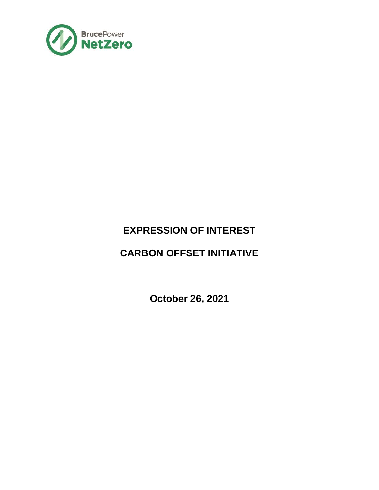

# **EXPRESSION OF INTEREST**

# **CARBON OFFSET INITIATIVE**

**October 26, 2021**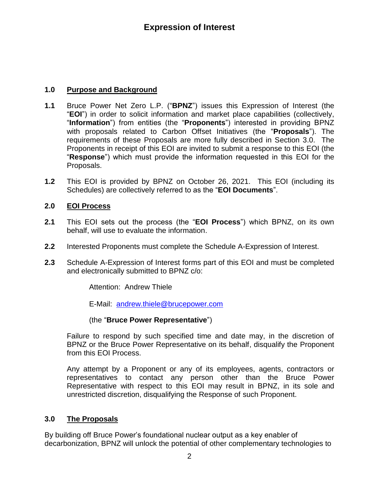## **1.0 Purpose and Background**

- **1.1** Bruce Power Net Zero L.P. ("**BPNZ**") issues this Expression of Interest (the "**EOI**") in order to solicit information and market place capabilities (collectively, "**Information**") from entities (the "**Proponents**") interested in providing BPNZ with proposals related to Carbon Offset Initiatives (the "**Proposals**"). The requirements of these Proposals are more fully described in Section 3.0. The Proponents in receipt of this EOI are invited to submit a response to this EOI (the "**Response**") which must provide the information requested in this EOI for the Proposals.
- **1.2** This EOI is provided by BPNZ on October 26, 2021. This EOI (including its Schedules) are collectively referred to as the "**EOI Documents**".

## **2.0 EOI Process**

- **2.1** This EOI sets out the process (the "**EOI Process**") which BPNZ, on its own behalf, will use to evaluate the information.
- **2.2** Interested Proponents must complete the Schedule A-Expression of Interest.
- **2.3** Schedule A-Expression of Interest forms part of this EOI and must be completed and electronically submitted to BPNZ c/o:

Attention: Andrew Thiele

E-Mail: [andrew.thiele@brucepower.com](mailto:andrew.thiele@brucepower.com)

#### (the "**Bruce Power Representative**")

Failure to respond by such specified time and date may, in the discretion of BPNZ or the Bruce Power Representative on its behalf, disqualify the Proponent from this EOI Process.

Any attempt by a Proponent or any of its employees, agents, contractors or representatives to contact any person other than the Bruce Power Representative with respect to this EOI may result in BPNZ, in its sole and unrestricted discretion, disqualifying the Response of such Proponent.

## **3.0 The Proposals**

By building off Bruce Power's foundational nuclear output as a key enabler of decarbonization, BPNZ will unlock the potential of other complementary technologies to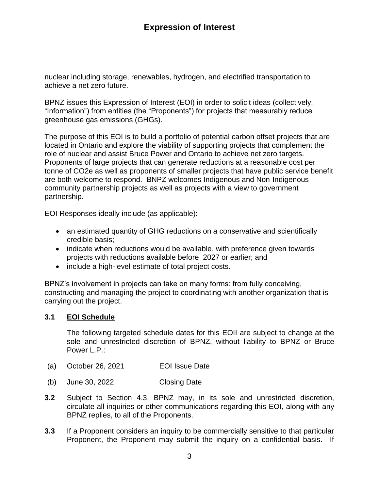## **Expression of Interest**

nuclear including storage, renewables, hydrogen, and electrified transportation to achieve a net zero future.

BPNZ issues this Expression of Interest (EOI) in order to solicit ideas (collectively, "Information") from entities (the "Proponents") for projects that measurably reduce greenhouse gas emissions (GHGs).

The purpose of this EOI is to build a portfolio of potential carbon offset projects that are located in Ontario and explore the viability of supporting projects that complement the role of nuclear and assist Bruce Power and Ontario to achieve net zero targets. Proponents of large projects that can generate reductions at a reasonable cost per tonne of CO2e as well as proponents of smaller projects that have public service benefit are both welcome to respond. BNPZ welcomes Indigenous and Non-Indigenous community partnership projects as well as projects with a view to government partnership.

EOI Responses ideally include (as applicable):

- an estimated quantity of GHG reductions on a conservative and scientifically credible basis;
- indicate when reductions would be available, with preference given towards projects with reductions available before 2027 or earlier; and
- include a high-level estimate of total project costs.

BPNZ's involvement in projects can take on many forms: from fully conceiving, constructing and managing the project to coordinating with another organization that is carrying out the project.

#### **3.1 EOI Schedule**

The following targeted schedule dates for this EOII are subject to change at the sole and unrestricted discretion of BPNZ, without liability to BPNZ or Bruce Power L.P.:

- (a) October 26, 2021 EOI Issue Date
- (b) June 30, 2022 Closing Date
- **3.2** Subject to Section 4.3, BPNZ may, in its sole and unrestricted discretion, circulate all inquiries or other communications regarding this EOI, along with any BPNZ replies, to all of the Proponents.
- **3.3** If a Proponent considers an inquiry to be commercially sensitive to that particular Proponent, the Proponent may submit the inquiry on a confidential basis. If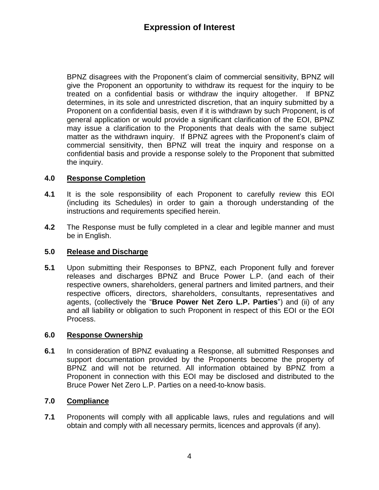BPNZ disagrees with the Proponent's claim of commercial sensitivity, BPNZ will give the Proponent an opportunity to withdraw its request for the inquiry to be treated on a confidential basis or withdraw the inquiry altogether. If BPNZ determines, in its sole and unrestricted discretion, that an inquiry submitted by a Proponent on a confidential basis, even if it is withdrawn by such Proponent, is of general application or would provide a significant clarification of the EOI, BPNZ may issue a clarification to the Proponents that deals with the same subject matter as the withdrawn inquiry. If BPNZ agrees with the Proponent's claim of commercial sensitivity, then BPNZ will treat the inquiry and response on a confidential basis and provide a response solely to the Proponent that submitted the inquiry.

## **4.0 Response Completion**

- **4.1** It is the sole responsibility of each Proponent to carefully review this EOI (including its Schedules) in order to gain a thorough understanding of the instructions and requirements specified herein.
- **4.2** The Response must be fully completed in a clear and legible manner and must be in English.

## **5.0 Release and Discharge**

**5.1** Upon submitting their Responses to BPNZ, each Proponent fully and forever releases and discharges BPNZ and Bruce Power L.P. (and each of their respective owners, shareholders, general partners and limited partners, and their respective officers, directors, shareholders, consultants, representatives and agents, (collectively the "**Bruce Power Net Zero L.P. Parties**") and (ii) of any and all liability or obligation to such Proponent in respect of this EOI or the EOI Process.

## **6.0 Response Ownership**

**6.1** In consideration of BPNZ evaluating a Response, all submitted Responses and support documentation provided by the Proponents become the property of BPNZ and will not be returned. All information obtained by BPNZ from a Proponent in connection with this EOI may be disclosed and distributed to the Bruce Power Net Zero L.P. Parties on a need-to-know basis.

## **7.0 Compliance**

**7.1** Proponents will comply with all applicable laws, rules and regulations and will obtain and comply with all necessary permits, licences and approvals (if any).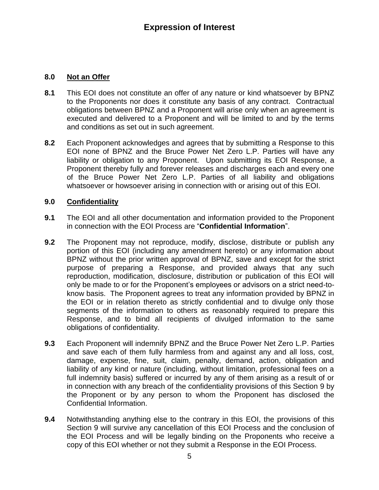## **8.0 Not an Offer**

- **8.1** This EOI does not constitute an offer of any nature or kind whatsoever by BPNZ to the Proponents nor does it constitute any basis of any contract. Contractual obligations between BPNZ and a Proponent will arise only when an agreement is executed and delivered to a Proponent and will be limited to and by the terms and conditions as set out in such agreement.
- **8.2** Each Proponent acknowledges and agrees that by submitting a Response to this EOI none of BPNZ and the Bruce Power Net Zero L.P. Parties will have any liability or obligation to any Proponent. Upon submitting its EOI Response, a Proponent thereby fully and forever releases and discharges each and every one of the Bruce Power Net Zero L.P. Parties of all liability and obligations whatsoever or howsoever arising in connection with or arising out of this EOI.

## **9.0 Confidentiality**

- **9.1** The EOI and all other documentation and information provided to the Proponent in connection with the EOI Process are "**Confidential Information**".
- **9.2** The Proponent may not reproduce, modify, disclose, distribute or publish any portion of this EOI (including any amendment hereto) or any information about BPNZ without the prior written approval of BPNZ, save and except for the strict purpose of preparing a Response, and provided always that any such reproduction, modification, disclosure, distribution or publication of this EOI will only be made to or for the Proponent's employees or advisors on a strict need-toknow basis. The Proponent agrees to treat any information provided by BPNZ in the EOI or in relation thereto as strictly confidential and to divulge only those segments of the information to others as reasonably required to prepare this Response, and to bind all recipients of divulged information to the same obligations of confidentiality.
- **9.3** Each Proponent will indemnify BPNZ and the Bruce Power Net Zero L.P. Parties and save each of them fully harmless from and against any and all loss, cost, damage, expense, fine, suit, claim, penalty, demand, action, obligation and liability of any kind or nature (including, without limitation, professional fees on a full indemnity basis) suffered or incurred by any of them arising as a result of or in connection with any breach of the confidentiality provisions of this Section 9 by the Proponent or by any person to whom the Proponent has disclosed the Confidential Information.
- **9.4** Notwithstanding anything else to the contrary in this EOI, the provisions of this Section 9 will survive any cancellation of this EOI Process and the conclusion of the EOI Process and will be legally binding on the Proponents who receive a copy of this EOI whether or not they submit a Response in the EOI Process.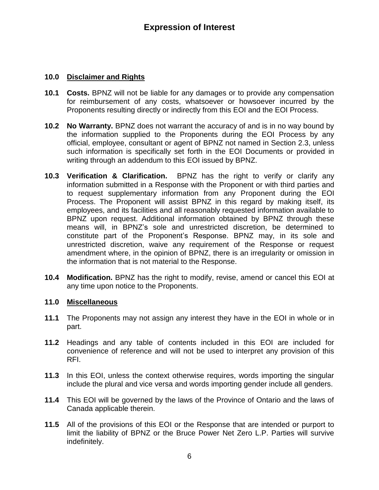## **10.0 Disclaimer and Rights**

- **10.1 Costs.** BPNZ will not be liable for any damages or to provide any compensation for reimbursement of any costs, whatsoever or howsoever incurred by the Proponents resulting directly or indirectly from this EOI and the EOI Process.
- **10.2 No Warranty.** BPNZ does not warrant the accuracy of and is in no way bound by the information supplied to the Proponents during the EOI Process by any official, employee, consultant or agent of BPNZ not named in Section 2.3, unless such information is specifically set forth in the EOI Documents or provided in writing through an addendum to this EOI issued by BPNZ.
- **10.3 Verification & Clarification.** BPNZ has the right to verify or clarify any information submitted in a Response with the Proponent or with third parties and to request supplementary information from any Proponent during the EOI Process. The Proponent will assist BPNZ in this regard by making itself, its employees, and its facilities and all reasonably requested information available to BPNZ upon request. Additional information obtained by BPNZ through these means will, in BPNZ's sole and unrestricted discretion, be determined to constitute part of the Proponent's Response. BPNZ may, in its sole and unrestricted discretion, waive any requirement of the Response or request amendment where, in the opinion of BPNZ, there is an irregularity or omission in the information that is not material to the Response.
- **10.4 Modification.** BPNZ has the right to modify, revise, amend or cancel this EOI at any time upon notice to the Proponents.

#### **11.0 Miscellaneous**

- **11.1** The Proponents may not assign any interest they have in the EOI in whole or in part.
- **11.2** Headings and any table of contents included in this EOI are included for convenience of reference and will not be used to interpret any provision of this RFI.
- **11.3** In this EOI, unless the context otherwise requires, words importing the singular include the plural and vice versa and words importing gender include all genders.
- **11.4** This EOI will be governed by the laws of the Province of Ontario and the laws of Canada applicable therein.
- **11.5** All of the provisions of this EOI or the Response that are intended or purport to limit the liability of BPNZ or the Bruce Power Net Zero L.P. Parties will survive indefinitely.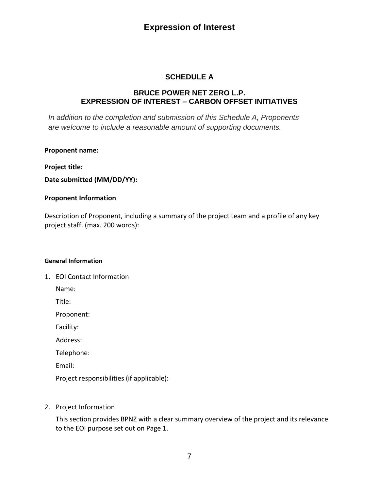## **Expression of Interest**

## **SCHEDULE A**

#### **BRUCE POWER NET ZERO L.P. EXPRESSION OF INTEREST – CARBON OFFSET INITIATIVES**

*In addition to the completion and submission of this Schedule A, Proponents are welcome to include a reasonable amount of supporting documents.* 

#### **Proponent name:**

**Project title:**

**Date submitted (MM/DD/YY):**

#### **Proponent Information**

Description of Proponent, including a summary of the project team and a profile of any key project staff. (max. 200 words):

#### **General Information**

1. EOI Contact Information

Name:

Title:

Proponent:

Facility:

Address:

Telephone:

Email:

Project responsibilities (if applicable):

2. Project Information

This section provides BPNZ with a clear summary overview of the project and its relevance to the EOI purpose set out on Page 1.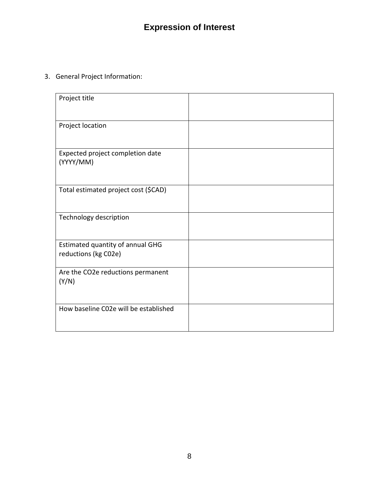# **Expression of Interest**

## 3. General Project Information:

| Project title                                            |  |
|----------------------------------------------------------|--|
| Project location                                         |  |
| Expected project completion date<br>(YYYY/MM)            |  |
| Total estimated project cost (\$CAD)                     |  |
| Technology description                                   |  |
| Estimated quantity of annual GHG<br>reductions (kg C02e) |  |
| Are the CO2e reductions permanent<br>(Y/N)               |  |
| How baseline C02e will be established                    |  |